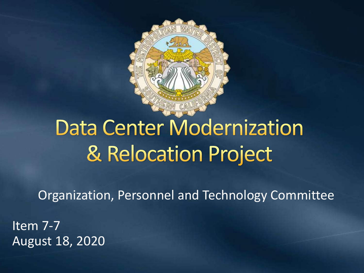

# **Data Center Modernization** & Relocation Project

Organization, Personnel and Technology Committee

Item 7-7 August 18, 2020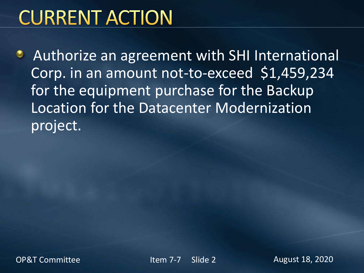# **CURRENT ACTION**

**Authorize an agreement with SHI International** Corp. in an amount not-to-exceed \$1,459,234 for the equipment purchase for the Backup Location for the Datacenter Modernization project.

OP&T Committee The Item 7-7 Slide 2 August 18, 2020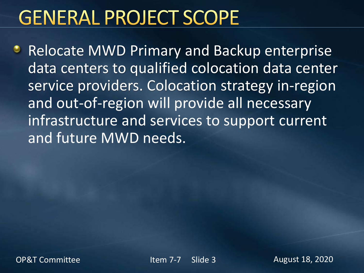# **GENERAL PROJECT SCOPE**

**• Relocate MWD Primary and Backup enterprise** data centers to qualified colocation data center service providers. Colocation strategy in-region and out-of-region will provide all necessary infrastructure and services to support current and future MWD needs.

OP&T Committee The Item 7-7 Slide 3 August 18, 2020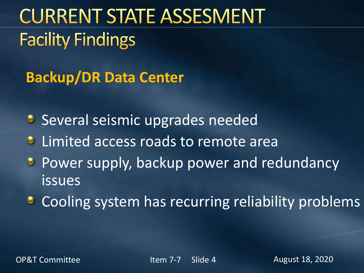# **CURRENT STATE ASSESMENT Facility Findings**

**Backup/DR Data Center**

**Several seismic upgrades needed** 

- **Limited access roads to remote area**
- **Power supply, backup power and redundancy** issues
- **Cooling system has recurring reliability problems**

OP&T Committee The Item 7-7 Slide 4 August 18, 2020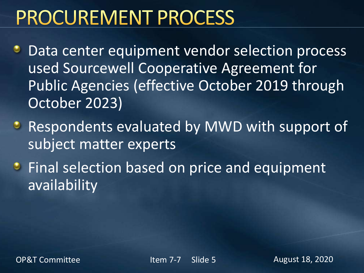# **PROCUREMENT PROCESS**

- Data center equipment vendor selection process used Sourcewell Cooperative Agreement for Public Agencies (effective October 2019 through October 2023)
- **Respondents evaluated by MWD with support of** subject matter experts
- **Final selection based on price and equipment** availability

OP&T Committee The Item 7-7 Slide 5 August 18, 2020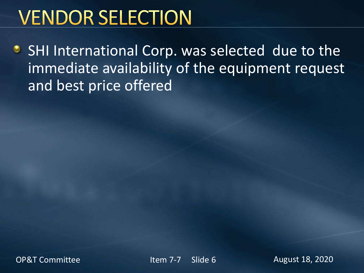# **VENDOR SELECTION**

• SHI International Corp. was selected due to the immediate availability of the equipment request and best price offered

OP&T Committee The Item 7-7 Slide 6 August 18, 2020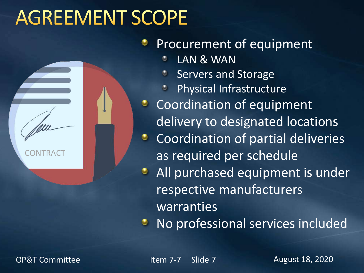# **AGREEMENT SCOPE**

**CONTRAC** 

### Procurement of equipment

- LAN & WAN
- Servers and Storage
- Physical Infrastructure
- **Coordination of equipment** delivery to designated locations
- Coordination of partial deliveries as required per schedule
- All purchased equipment is under  $\bullet$ respective manufacturers **warranties**

No professional services included

OP&T Committee The Item 7-7 Slide 7 August 18, 2020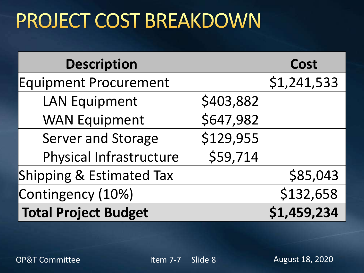# PROJECT COST BREAKDOWN

| <b>Description</b>           |           | <b>Cost</b> |
|------------------------------|-----------|-------------|
| <b>Equipment Procurement</b> |           | \$1,241,533 |
| <b>LAN Equipment</b>         | \$403,882 |             |
| <b>WAN Equipment</b>         | \$647,982 |             |
| <b>Server and Storage</b>    | \$129,955 |             |
| Physical Infrastructure      | \$59,714  |             |
| Shipping & Estimated Tax     |           | \$85,043    |
| Contingency (10%)            |           | \$132,658   |
| <b>Total Project Budget</b>  |           | \$1,459,234 |

OP&T Committee The Item 7-7 Slide 8 August 18, 2020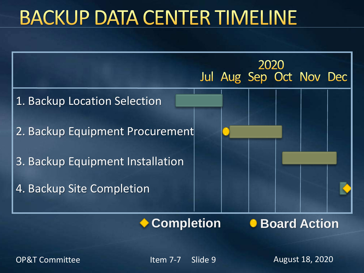# **BACKUP DATA CENTER TIMELINE**



OP&T Committee The Item 7-7 Slide 9 August 18, 2020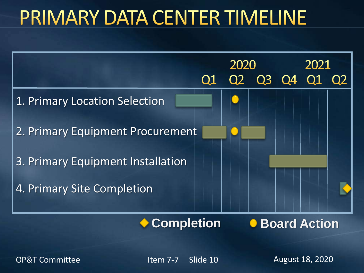### PRIMARY DATA CENTER TIMELINE



**Completion**

**C** Board Action

OP&T Committee The Item 7-7 Slide 10 August 18, 2020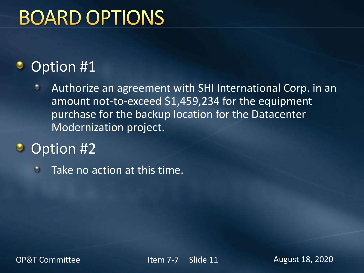# **BOARD OPTIONS**

#### Option #1 ٠

- Authorize an agreement with SHI International Corp. in an ø amount not-to-exceed \$1,459,234 for the equipment purchase for the backup location for the Datacenter Modernization project.
- Option #2  $\bullet$ 
	- Take no action at this time. $\bullet$

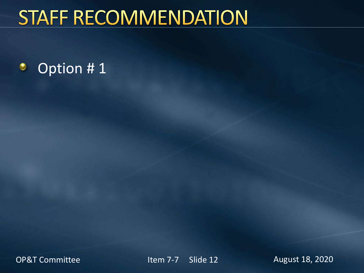# **STAFF RECOMMENDATION**

#### ۰ Option # 1

OP&T Committee The Item 7-7 Slide 12 August 18, 2020